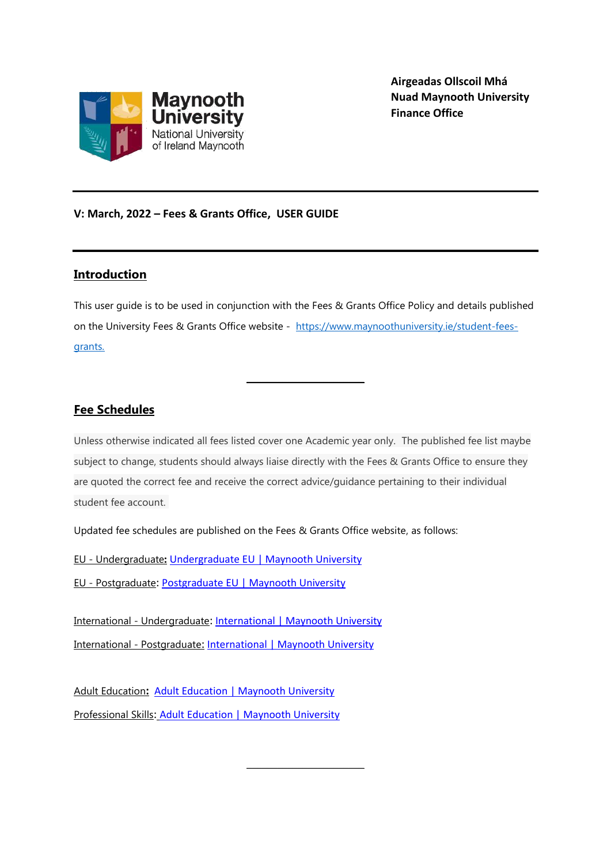

**Airgeadas Ollscoil Mhá Nuad Maynooth University Finance Office**

## **V: March, 2022 – Fees & Grants Office, USER GUIDE**

## **Introduction**

This user guide is to be used in conjunction with the Fees & Grants Office Policy and details published on the University Fees & Grants Office website - [https://www.maynoothuniversity.ie/student-fees](https://www.maynoothuniversity.ie/student-fees-grants)[grants.](https://www.maynoothuniversity.ie/student-fees-grants)

**\_\_\_\_\_\_\_\_\_\_\_\_\_\_\_\_\_\_\_\_\_\_\_**

# **Fee Schedules**

Unless otherwise indicated all fees listed cover one Academic year only. The published fee list maybe subject to change, students should always liaise directly with the Fees & Grants Office to ensure they are quoted the correct fee and receive the correct advice/guidance pertaining to their individual student fee account.

**\_\_\_\_\_\_\_\_\_\_\_\_\_\_\_\_\_\_\_\_\_\_\_**

Updated fee schedules are published on the Fees & Grants Office website, as follows:

EU - Undergraduate**:** [Undergraduate EU | Maynooth University](https://www.maynoothuniversity.ie/student-fees-grants/undergraduate)

EU - Postgraduate: [Postgraduate EU | Maynooth University](https://www.maynoothuniversity.ie/student-fees-grants/postgraduate)

International - Undergraduate: [International | Maynooth University](https://www.maynoothuniversity.ie/student-fees-grants/international) International - Postgraduate: [International | Maynooth](https://www.maynoothuniversity.ie/student-fees-grants/international) University

Adult Education**:** [Adult Education | Maynooth University](https://www.maynoothuniversity.ie/student-fees-grants/adult-education) Professional Skills: [Adult Education | Maynooth University](https://www.maynoothuniversity.ie/student-fees-grants/adult-education)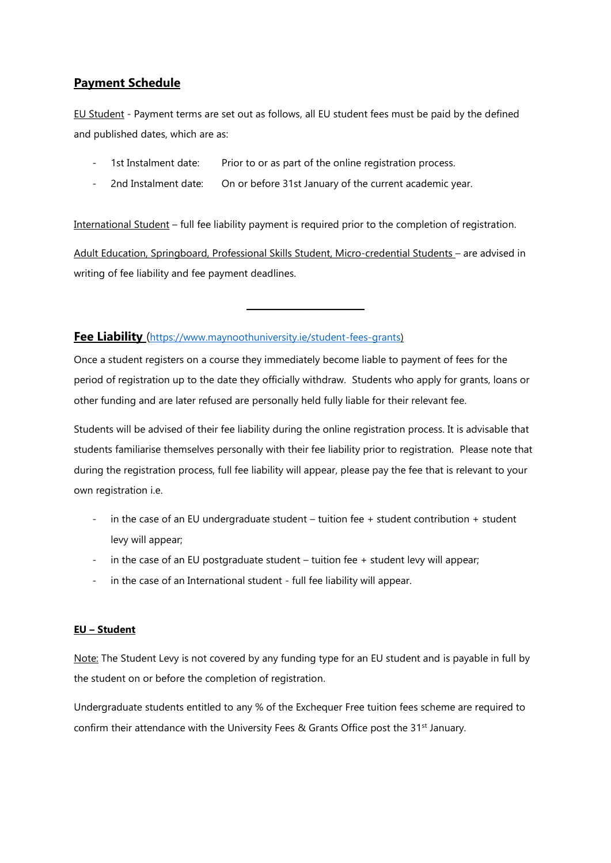# **Payment Schedule**

EU Student - Payment terms are set out as follows, all EU student fees must be paid by the defined and published dates, which are as:

- 1st Instalment date: Prior to or as part of the online registration process.
- 2nd Instalment date: On or before 31st January of the current academic year.

International Student – full fee liability payment is required prior to the completion of registration.

Adult Education, Springboard, Professional Skills Student, Micro-credential Students – are advised in writing of fee liability and fee payment deadlines.

**\_\_\_\_\_\_\_\_\_\_\_\_\_\_\_\_\_\_\_\_\_\_\_**

## **Fee Liability** ([https://www.maynoothuniversity.ie/student-fees-grants\)](https://www.maynoothuniversity.ie/student-fees-grants)

Once a student registers on a course they immediately become liable to payment of fees for the period of registration up to the date they officially withdraw. Students who apply for grants, loans or other funding and are later refused are personally held fully liable for their relevant fee.

Students will be advised of their fee liability during the online registration process. It is advisable that students familiarise themselves personally with their fee liability prior to registration. Please note that during the registration process, full fee liability will appear, please pay the fee that is relevant to your own registration i.e.

- in the case of an EU undergraduate student tuition fee  $+$  student contribution  $+$  student levy will appear;
- in the case of an EU postgraduate student tuition fee + student levy will appear;
- in the case of an International student full fee liability will appear.

### **EU – Student**

Note: The Student Levy is not covered by any funding type for an EU student and is payable in full by the student on or before the completion of registration.

Undergraduate students entitled to any % of the Exchequer Free tuition fees scheme are required to confirm their attendance with the University Fees & Grants Office post the  $31<sup>st</sup>$  January.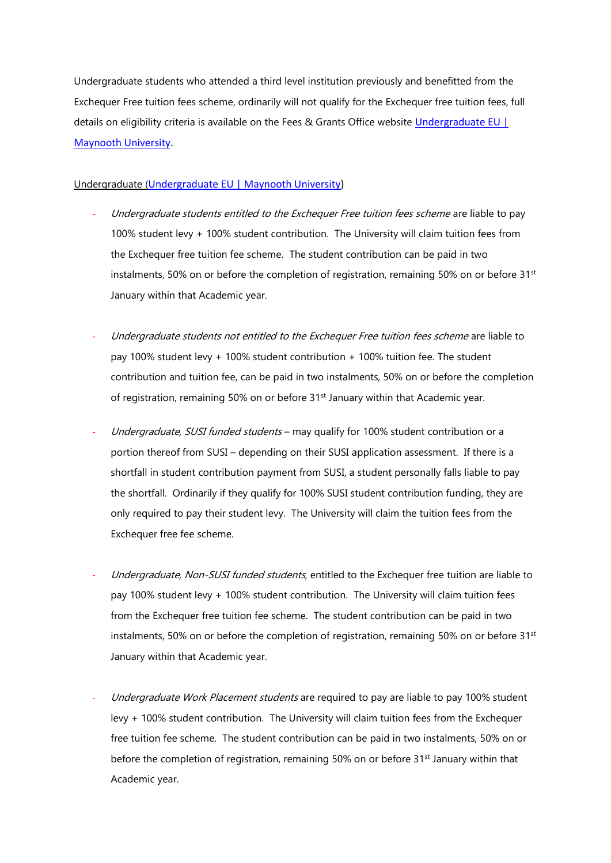Undergraduate students who attended a third level institution previously and benefitted from the Exchequer Free tuition fees scheme, ordinarily will not qualify for the Exchequer free tuition fees, full details on eligibility criteria is available on the Fees & Grants Office website [Undergraduate EU |](https://www.maynoothuniversity.ie/student-fees-grants/undergraduate)  [Maynooth University.](https://www.maynoothuniversity.ie/student-fees-grants/undergraduate)

### Undergraduate ([Undergraduate EU | Maynooth University\)](https://www.maynoothuniversity.ie/student-fees-grants/undergraduate)

- Undergraduate students entitled to the Exchequer Free tuition fees scheme are liable to pay 100% student levy + 100% student contribution. The University will claim tuition fees from the Exchequer free tuition fee scheme. The student contribution can be paid in two instalments, 50% on or before the completion of registration, remaining 50% on or before 31<sup>st</sup> January within that Academic year.
- Undergraduate students not entitled to the Exchequer Free tuition fees scheme are liable to pay 100% student levy + 100% student contribution + 100% tuition fee. The student contribution and tuition fee, can be paid in two instalments, 50% on or before the completion of registration, remaining 50% on or before 31<sup>st</sup> January within that Academic year.
- Undergraduate, SUSI funded students may qualify for 100% student contribution or a portion thereof from SUSI – depending on their SUSI application assessment. If there is a shortfall in student contribution payment from SUSI, a student personally falls liable to pay the shortfall. Ordinarily if they qualify for 100% SUSI student contribution funding, they are only required to pay their student levy. The University will claim the tuition fees from the Exchequer free fee scheme.
- Undergraduate, Non-SUSI funded students, entitled to the Exchequer free tuition are liable to pay 100% student levy + 100% student contribution. The University will claim tuition fees from the Exchequer free tuition fee scheme. The student contribution can be paid in two instalments, 50% on or before the completion of registration, remaining 50% on or before 31<sup>st</sup> January within that Academic year.
- Undergraduate Work Placement students are required to pay are liable to pay 100% student levy + 100% student contribution. The University will claim tuition fees from the Exchequer free tuition fee scheme. The student contribution can be paid in two instalments, 50% on or before the completion of registration, remaining 50% on or before 31<sup>st</sup> January within that Academic year.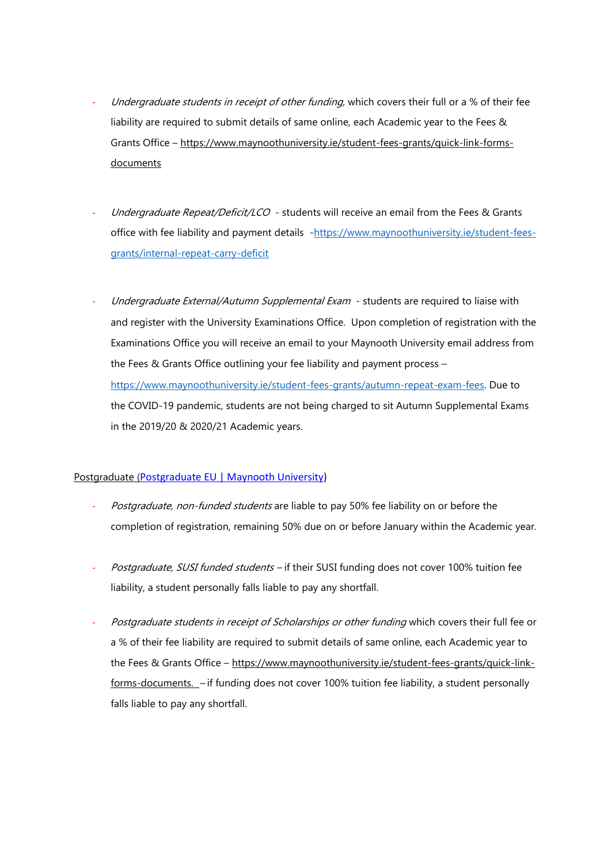- Undergraduate students in receipt of other funding, which covers their full or a % of their fee liability are required to submit details of same online, each Academic year to the Fees & Grants Office – [https://www.maynoothuniversity.ie/student-fees-grants/quick-link-forms](https://www.maynoothuniversity.ie/student-fees-grants/quick-link-forms-documents)[documents](https://www.maynoothuniversity.ie/student-fees-grants/quick-link-forms-documents)
- Undergraduate Repeat/Deficit/LCO students will receive an email from the Fees & Grants office with fee liability and payment details [-https://www.maynoothuniversity.ie/student-fees](https://www.maynoothuniversity.ie/student-fees-grants/internal-repeat-carry-deficit)[grants/internal-repeat-carry-deficit](https://www.maynoothuniversity.ie/student-fees-grants/internal-repeat-carry-deficit)
- Undergraduate External/Autumn Supplemental Exam students are required to liaise with and register with the University Examinations Office. Upon completion of registration with the Examinations Office you will receive an email to your Maynooth University email address from the Fees & Grants Office outlining your fee liability and payment process – [https://www.maynoothuniversity.ie/student-fees-grants/autumn-repeat-exam-fees.](https://www.maynoothuniversity.ie/student-fees-grants/autumn-repeat-exam-fees) Due to the COVID-19 pandemic, students are not being charged to sit Autumn Supplemental Exams in the 2019/20 & 2020/21 Academic years.

### Postgraduate ([Postgraduate EU | Maynooth University\)](https://www.maynoothuniversity.ie/student-fees-grants/postgraduate)

- Postgraduate, non-funded students are liable to pay 50% fee liability on or before the completion of registration, remaining 50% due on or before January within the Academic year.
- Postgraduate, SUSI funded students if their SUSI funding does not cover 100% tuition fee liability, a student personally falls liable to pay any shortfall.
- Postgraduate students in receipt of Scholarships or other funding which covers their full fee or a % of their fee liability are required to submit details of same online, each Academic year to the Fees & Grants Office – [https://www.maynoothuniversity.ie/student-fees-grants/quick-link](https://www.maynoothuniversity.ie/student-fees-grants/quick-link-forms-documents)[forms-documents.](https://www.maynoothuniversity.ie/student-fees-grants/quick-link-forms-documents) – if funding does not cover 100% tuition fee liability, a student personally falls liable to pay any shortfall.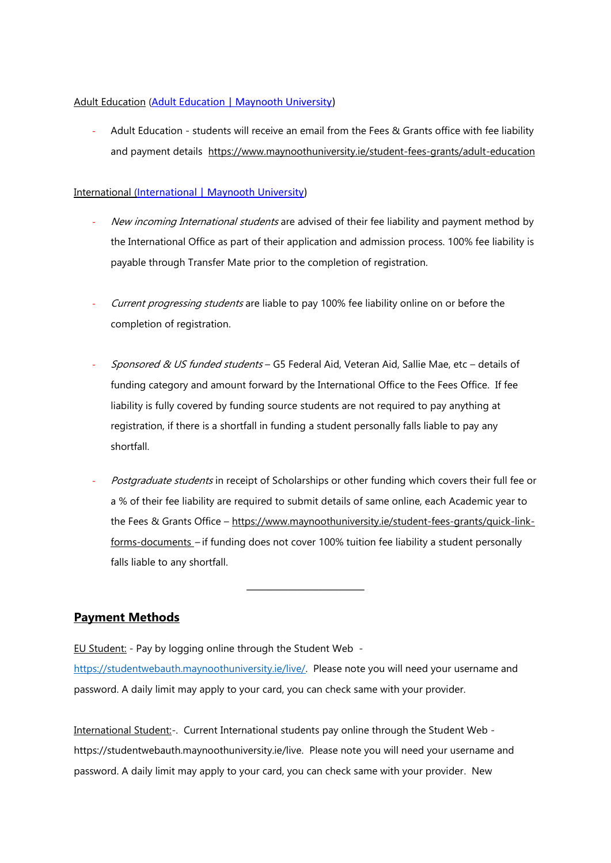### Adult Education ([Adult Education | Maynooth University\)](https://www.maynoothuniversity.ie/student-fees-grants/adult-education)

Adult Education - students will receive an email from the Fees & Grants office with fee liability and payment details <https://www.maynoothuniversity.ie/student-fees-grants/adult-education>

### International ([International | Maynooth University\)](https://www.maynoothuniversity.ie/student-fees-grants/international)

- New incoming International students are advised of their fee liability and payment method by the International Office as part of their application and admission process. 100% fee liability is payable through Transfer Mate prior to the completion of registration.
- Current progressing students are liable to pay 100% fee liability online on or before the completion of registration.
- Sponsored & US funded students G5 Federal Aid, Veteran Aid, Sallie Mae, etc details of funding category and amount forward by the International Office to the Fees Office. If fee liability is fully covered by funding source students are not required to pay anything at registration, if there is a shortfall in funding a student personally falls liable to pay any shortfall.
- Postgraduate students in receipt of Scholarships or other funding which covers their full fee or a % of their fee liability are required to submit details of same online, each Academic year to the Fees & Grants Office – [https://www.maynoothuniversity.ie/student-fees-grants/quick-link](https://www.maynoothuniversity.ie/student-fees-grants/quick-link-forms-documents)[forms-documents](https://www.maynoothuniversity.ie/student-fees-grants/quick-link-forms-documents) – if funding does not cover 100% tuition fee liability a student personally falls liable to any shortfall.

**\_\_\_\_\_\_\_\_\_\_\_\_\_\_\_\_\_\_\_\_\_\_\_**

# **Payment Methods**

EU Student: - Pay by logging online through the Student Web -

[https://studentwebauth.maynoothuniversity.ie/live/.](https://studentwebauth.maynoothuniversity.ie/live/) Please note you will need your username and password. A daily limit may apply to your card, you can check same with your provider.

International Student:-. Current International students pay online through the Student Web https://studentwebauth.maynoothuniversity.ie/live. Please note you will need your username and password. A daily limit may apply to your card, you can check same with your provider. New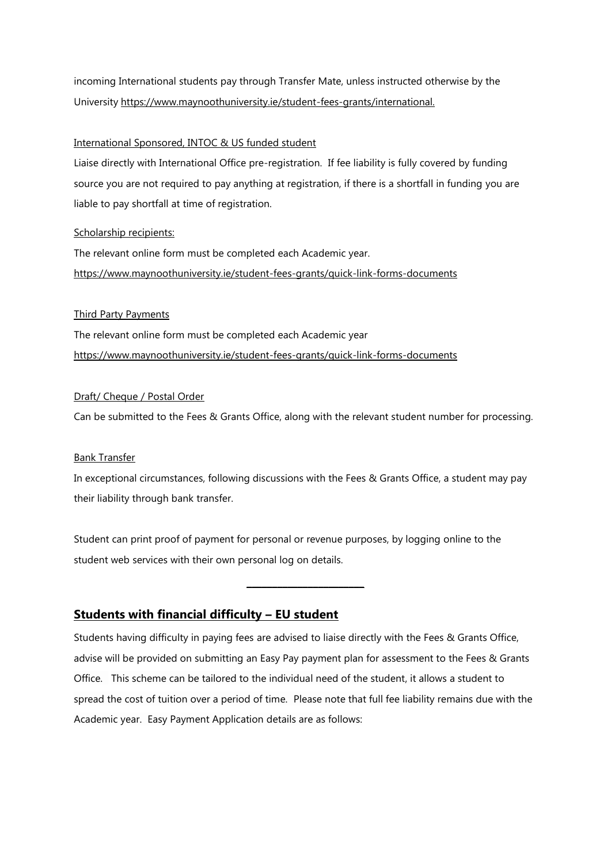incoming International students pay through Transfer Mate, unless instructed otherwise by the University [https://www.maynoothuniversity.ie/student-fees-grants/international.](https://www.maynoothuniversity.ie/student-fees-grants/international)

### International Sponsored, INTOC & US funded student

Liaise directly with International Office pre-registration. If fee liability is fully covered by funding source you are not required to pay anything at registration, if there is a shortfall in funding you are liable to pay shortfall at time of registration.

#### Scholarship recipients:

The relevant online form must be completed each Academic year. <https://www.maynoothuniversity.ie/student-fees-grants/quick-link-forms-documents>

#### Third Party Payments

The relevant online form must be completed each Academic year <https://www.maynoothuniversity.ie/student-fees-grants/quick-link-forms-documents>

#### Draft/ Cheque / Postal Order

Can be submitted to the Fees & Grants Office, along with the relevant student number for processing.

#### Bank Transfer

In exceptional circumstances, following discussions with the Fees & Grants Office, a student may pay their liability through bank transfer.

Student can print proof of payment for personal or revenue purposes, by logging online to the student web services with their own personal log on details.

## **Students with financial difficulty – EU student**

Students having difficulty in paying fees are advised to liaise directly with the Fees & Grants Office, advise will be provided on submitting an Easy Pay payment plan for assessment to the Fees & Grants Office. This scheme can be tailored to the individual need of the student, it allows a student to spread the cost of tuition over a period of time. Please note that full fee liability remains due with the Academic year. Easy Payment Application details are as follows:

**\_\_\_\_\_\_\_\_\_\_\_\_\_\_\_\_\_\_\_\_\_\_\_**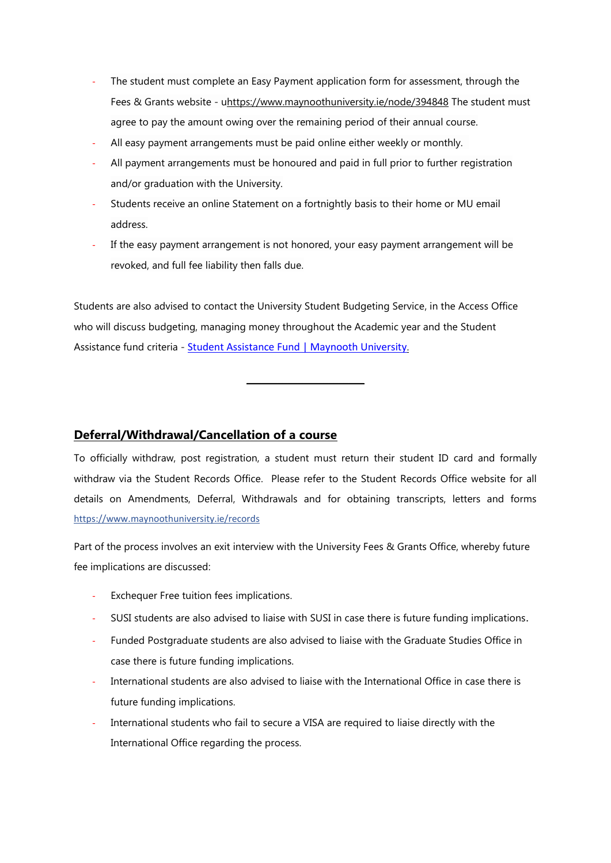- The student must complete an Easy Payment application form for assessment, through the Fees & Grants website - [uhttps://www.maynoothuniversity.ie/node/394848](https://www.maynoothuniversity.ie/node/394848) The student must agree to pay the amount owing over the remaining period of their annual course.
- All easy payment arrangements must be paid [online](https://studentwebauth.maynoothuniversity.ie/live/) either weekly or monthly.
- All payment arrangements must be honoured and paid in full prior to further registration and/or graduation with the University.
- Students receive an online Statement on a fortnightly basis to their home or MU email address.
- If the easy payment arrangement is not honored, your easy payment arrangement will be revoked, and full fee liability then falls due.

Students are also advised to contact the University Student Budgeting Service, in the Access Office who will discuss budgeting, managing money throughout the Academic year and the Student Assistance fund criteria - [Student Assistance Fund | Maynooth University](https://www.maynoothuniversity.ie/access-office/SAF).

**\_\_\_\_\_\_\_\_\_\_\_\_\_\_\_\_\_\_\_\_\_\_\_**

# **Deferral/Withdrawal/Cancellation of a course**

To officially withdraw, post registration, a student must return their student ID card and formally withdraw via the Student Records Office. Please refer to the Student Records Office website for all details on Amendments, Deferral, Withdrawals and for obtaining transcripts, letters and forms <https://www.maynoothuniversity.ie/records>

Part of the process involves an exit interview with the University Fees & Grants Office, whereby future fee implications are discussed:

- Exchequer Free tuition fees implications.
- SUSI students are also advised to liaise with SUSI in case there is future funding implications.
- Funded Postgraduate students are also advised to liaise with the Graduate Studies Office in case there is future funding implications.
- International students are also advised to liaise with the International Office in case there is future funding implications.
- International students who fail to secure a VISA are required to liaise directly with the International Office regarding the process.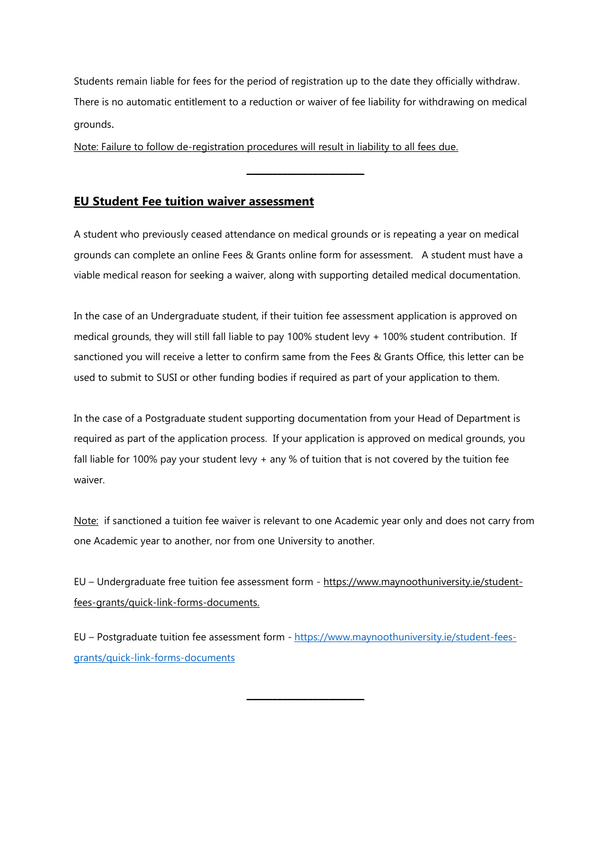Students remain liable for fees for the period of registration up to the date they officially withdraw. There is no automatic entitlement to a reduction or waiver of fee liability for withdrawing on medical grounds.

**\_\_\_\_\_\_\_\_\_\_\_\_\_\_\_\_\_\_\_\_\_\_\_**

Note: Failure to follow de-registration procedures will result in liability to all fees due.

## **EU Student Fee tuition waiver assessment**

A student who previously ceased attendance on medical grounds or is repeating a year on medical grounds can complete an online Fees & Grants online form for assessment. A student must have a viable medical reason for seeking a waiver, along with supporting detailed medical documentation.

In the case of an Undergraduate student, if their tuition fee assessment application is approved on medical grounds, they will still fall liable to pay 100% student levy + 100% student contribution. If sanctioned you will receive a letter to confirm same from the Fees & Grants Office, this letter can be used to submit to SUSI or other funding bodies if required as part of your application to them.

In the case of a Postgraduate student supporting documentation from your Head of Department is required as part of the application process. If your application is approved on medical grounds, you fall liable for 100% pay your student levy + any % of tuition that is not covered by the tuition fee waiver.

Note: if sanctioned a tuition fee waiver is relevant to one Academic year only and does not carry from one Academic year to another, nor from one University to another.

EU – Undergraduate free tuition fee assessment form - [https://www.maynoothuniversity.ie/student](https://www.maynoothuniversity.ie/student-fees-grants/quick-link-forms-documents)[fees-grants/quick-link-forms-documents.](https://www.maynoothuniversity.ie/student-fees-grants/quick-link-forms-documents)

EU – Postgraduate tuition fee assessment form - [https://www.maynoothuniversity.ie/student-fees](https://www.maynoothuniversity.ie/student-fees-grants/quick-link-forms-documents)[grants/quick-link-forms-documents](https://www.maynoothuniversity.ie/student-fees-grants/quick-link-forms-documents)

**\_\_\_\_\_\_\_\_\_\_\_\_\_\_\_\_\_\_\_\_\_\_\_**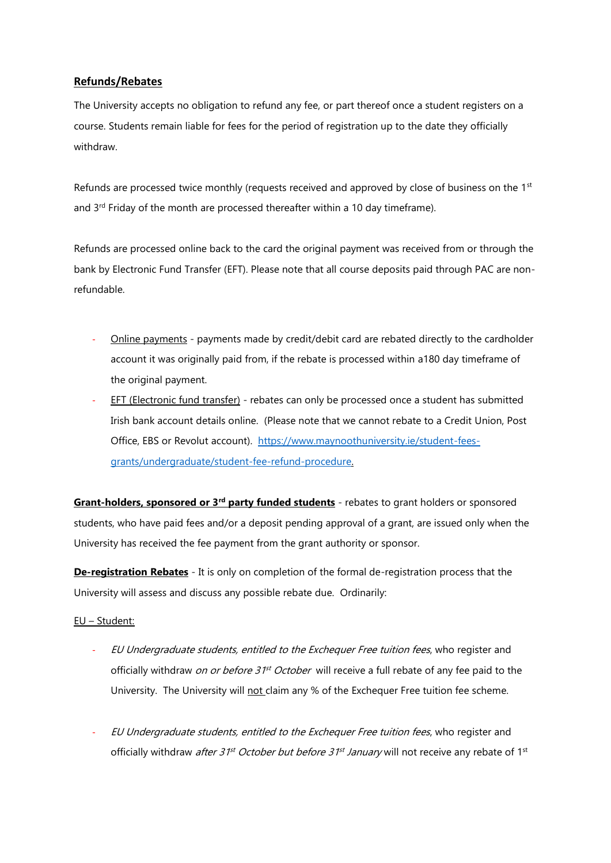## **Refunds/Rebates**

The University accepts no obligation to refund any fee, or part thereof once a student registers on a course. Students remain liable for fees for the period of registration up to the date they officially withdraw.

Refunds are processed twice monthly (requests received and approved by close of business on the 1<sup>st</sup> and  $3<sup>rd</sup>$  Friday of the month are processed thereafter within a 10 day timeframe).

Refunds are processed online back to the card the original payment was received from or through the bank by Electronic Fund Transfer (EFT). Please note that all course deposits paid through PAC are nonrefundable.

- Online payments payments made by credit/debit card are rebated directly to the cardholder account it was originally paid from, if the rebate is processed within a180 day timeframe of the original payment.
- EFT (Electronic fund transfer) rebates can only be processed once a student has submitted Irish bank account details online. (Please note that we cannot rebate to a Credit Union, Post Office, EBS or Revolut account). [https://www.maynoothuniversity.ie/student-fees](https://www.maynoothuniversity.ie/student-fees-grants/undergraduate/student-fee-refund-procedure)[grants/undergraduate/student-fee-refund-procedure.](https://www.maynoothuniversity.ie/student-fees-grants/undergraduate/student-fee-refund-procedure)

**Grant-holders, sponsored or 3rd party funded students** - rebates to grant holders or sponsored students, who have paid fees and/or a deposit pending approval of a grant, are issued only when the University has received the fee payment from the grant authority or sponsor.

**De-registration Rebates** - It is only on completion of the formal de-registration process that the University will assess and discuss any possible rebate due. Ordinarily:

## EU – Student:

- EU Undergraduate students, entitled to the Exchequer Free tuition fees, who register and officially withdraw *on or before 31<sup>st</sup> October* will receive a full rebate of any fee paid to the University. The University will not claim any % of the Exchequer Free tuition fee scheme.
- EU Undergraduate students, entitled to the Exchequer Free tuition fees, who register and officially withdraw after 31<sup>st</sup> October but before 31<sup>st</sup> January will not receive any rebate of 1<sup>st</sup>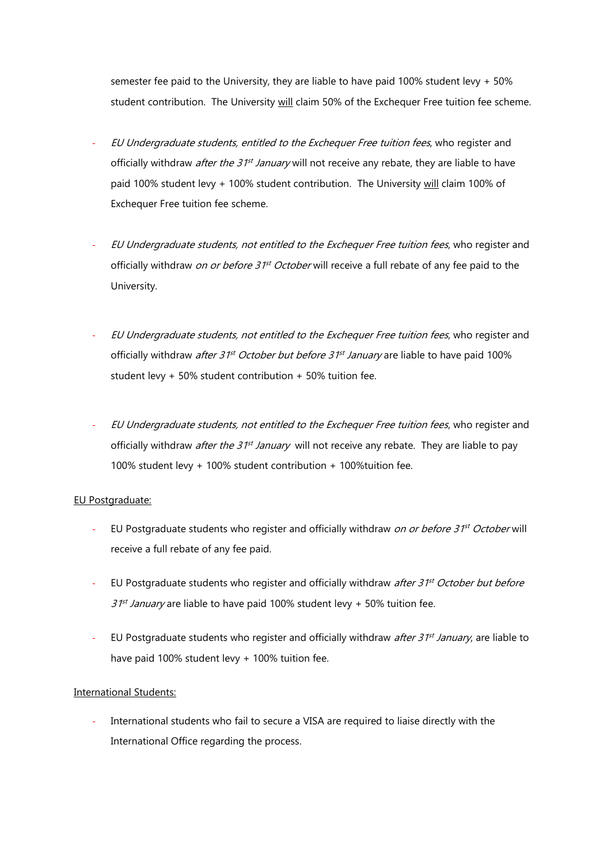semester fee paid to the University, they are liable to have paid 100% student levy + 50% student contribution. The University will claim 50% of the Exchequer Free tuition fee scheme.

- EU Undergraduate students, entitled to the Exchequer Free tuition fees, who register and officially withdraw *after the 31<sup>st</sup> January* will not receive any rebate, they are liable to have paid 100% student levy + 100% student contribution. The University will claim 100% of Exchequer Free tuition fee scheme.
- EU Undergraduate students, not entitled to the Exchequer Free tuition fees, who register and officially withdraw *on or before 31<sup>st</sup> October* will receive a full rebate of any fee paid to the University.
- EU Undergraduate students, not entitled to the Exchequer Free tuition fees, who register and officially withdraw *after 31<sup>st</sup> October but before 31<sup>st</sup> January* are liable to have paid 100% student levy + 50% student contribution + 50% tuition fee.
- EU Undergraduate students, not entitled to the Exchequer Free tuition fees, who register and officially withdraw *after the 31<sup>st</sup> January* will not receive any rebate. They are liable to pay 100% student levy + 100% student contribution + 100%tuition fee.

### EU Postgraduate:

- EU Postgraduate students who register and officially withdraw on or before 31<sup>st</sup> October will receive a full rebate of any fee paid.
- EU Postgraduate students who register and officially withdraw after 31<sup>st</sup> October but before 31<sup>st</sup> January are liable to have paid 100% student levy + 50% tuition fee.
- EU Postgraduate students who register and officially withdraw after 31<sup>st</sup> January, are liable to have paid 100% student levy + 100% tuition fee.

### International Students:

International students who fail to secure a VISA are required to liaise directly with the International Office regarding the process.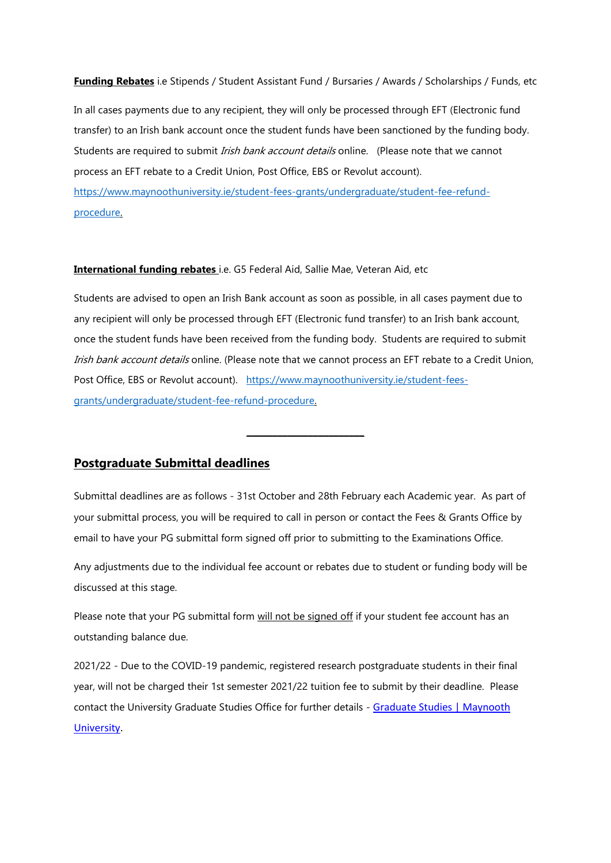#### **Funding Rebates** i.e Stipends / Student Assistant Fund / Bursaries / Awards / Scholarships / Funds, etc

In all cases payments due to any recipient, they will only be processed through EFT (Electronic fund transfer) to an Irish bank account once the student funds have been sanctioned by the funding body. Students are required to submit Irish bank account details online. (Please note that we cannot process an EFT rebate to a Credit Union, Post Office, EBS or Revolut account). [https://www.maynoothuniversity.ie/student-fees-grants/undergraduate/student-fee-refund](https://www.maynoothuniversity.ie/student-fees-grants/undergraduate/student-fee-refund-procedure)[procedure.](https://www.maynoothuniversity.ie/student-fees-grants/undergraduate/student-fee-refund-procedure)

#### **International funding rebates** i.e. G5 Federal Aid, Sallie Mae, Veteran Aid, etc

Students are advised to open an Irish Bank account as soon as possible, in all cases payment due to any recipient will only be processed through EFT (Electronic fund transfer) to an Irish bank account, once the student funds have been received from the funding body. Students are required to submit Irish bank account details online. (Please note that we cannot process an EFT rebate to a Credit Union, Post Office, EBS or Revolut account). [https://www.maynoothuniversity.ie/student-fees](https://www.maynoothuniversity.ie/student-fees-grants/undergraduate/student-fee-refund-procedure)[grants/undergraduate/student-fee-refund-procedure.](https://www.maynoothuniversity.ie/student-fees-grants/undergraduate/student-fee-refund-procedure)

**\_\_\_\_\_\_\_\_\_\_\_\_\_\_\_\_\_\_\_\_\_\_\_**

## **Postgraduate Submittal deadlines**

Submittal deadlines are as follows - 31st October and 28th February each Academic year. As part of your submittal process, you will be required to call in person or contact the Fees & Grants Office by email to have your PG submittal form signed off prior to submitting to the Examinations Office.

Any adjustments due to the individual fee account or rebates due to student or funding body will be discussed at this stage.

Please note that your PG submittal form will not be signed off if your student fee account has an outstanding balance due.

2021/22 - Due to the COVID-19 pandemic, registered research postgraduate students in their final year, will not be charged their 1st semester 2021/22 tuition fee to submit by their deadline. Please contact the University Graduate Studies Office for further details - [Graduate Studies | Maynooth](https://www.maynoothuniversity.ie/graduate-studies)  [University.](https://www.maynoothuniversity.ie/graduate-studies)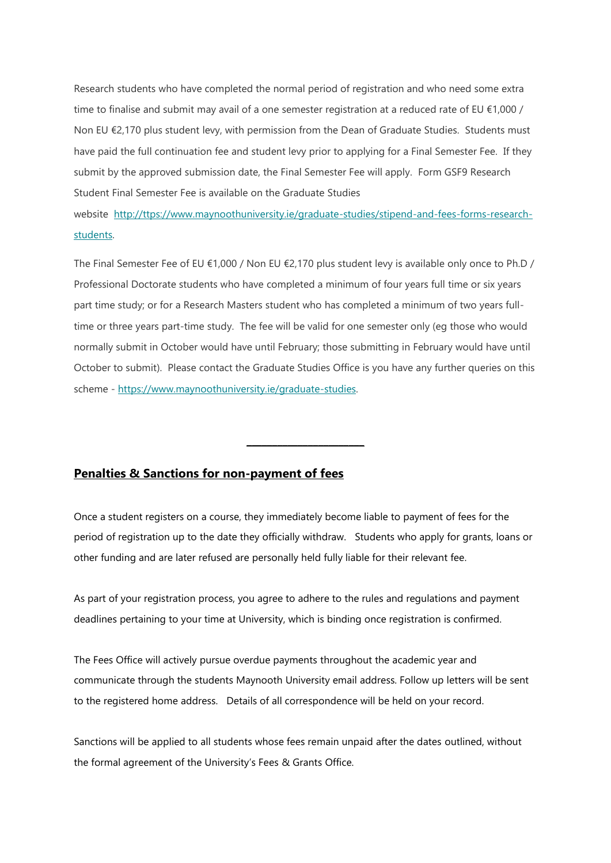Research students who have completed the normal period of registration and who need some extra time to finalise and submit may avail of a one semester registration at a reduced rate of EU €1,000 / Non EU €2,170 plus student levy, with permission from the Dean of Graduate Studies. Students must have paid the full continuation fee and student levy prior to applying for a Final Semester Fee. If they submit by the approved submission date, the Final Semester Fee will apply. Form GSF9 Research Student Final Semester Fee is available on the Graduate Studies

website [http://ttps://www.maynoothuniversity.ie/graduate-studies/stipend-and-fees-forms-research](http://ttps/www.maynoothuniversity.ie/graduate-studies/stipend-and-fees-forms-research-students)[students.](http://ttps/www.maynoothuniversity.ie/graduate-studies/stipend-and-fees-forms-research-students) 

The Final Semester Fee of EU €1,000 / Non EU €2,170 plus student levy is available only once to Ph.D / Professional Doctorate students who have completed a minimum of four years full time or six years part time study; or for a Research Masters student who has completed a minimum of two years fulltime or three years part-time study. The fee will be valid for one semester only (eg those who would normally submit in October would have until February; those submitting in February would have until October to submit). Please contact the Graduate Studies Office is you have any further queries on this scheme - [https://www.maynoothuniversity.ie/graduate-studies.](https://www.maynoothuniversity.ie/graduate-studies)

# **Penalties & Sanctions for non-payment of fees**

Once a student registers on a course, they immediately become liable to payment of fees for the period of registration up to the date they officially withdraw. Students who apply for grants, loans or other funding and are later refused are personally held fully liable for their relevant fee.

**\_\_\_\_\_\_\_\_\_\_\_\_\_\_\_\_\_\_\_\_\_\_\_**

As part of your registration process, you agree to adhere to the rules and regulations and payment deadlines pertaining to your time at University, which is binding once registration is confirmed.

The Fees Office will actively pursue overdue payments throughout the academic year and communicate through the students Maynooth University email address. Follow up letters will be sent to the registered home address. Details of all correspondence will be held on your record.

Sanctions will be applied to all students whose fees remain unpaid after the dates outlined, without the formal agreement of the University's Fees & Grants Office.